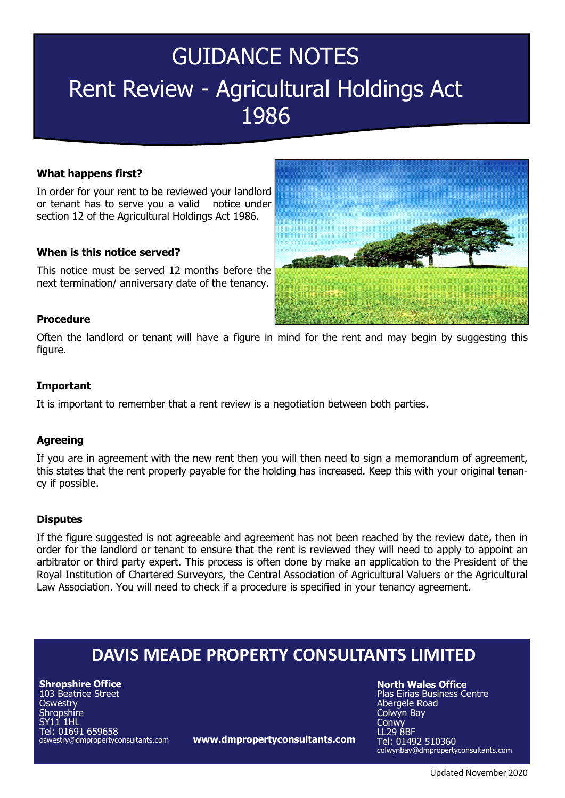# GUIDANCE NOTES Rent Review - Agricultural Holdings Act 1986

### **What happens first?**

In order for your rent to be reviewed your landlord or tenant has to serve you a valid notice under section 12 of the Agricultural Holdings Act 1986.

# **When is this notice served?**

This notice must be served 12 months before the next termination/ anniversary date of the tenancy.



#### **Procedure**

Often the landlord or tenant will have a figure in mind for the rent and may begin by suggesting this figure.

# **Important**

It is important to remember that a rent review is a negotiation between both parties.

#### **Agreeing**

If you are in agreement with the new rent then you will then need to sign a memorandum of agreement, this states that the rent properly payable for the holding has increased. Keep this with your original tenancy if possible.

#### **Disputes**

If the figure suggested is not agreeable and agreement has not been reached by the review date, then in order for the landlord or tenant to ensure that the rent is reviewed they will need to apply to appoint an arbitrator or third party expert. This process is often done by make an application to the President of the Royal Institution of Chartered Surveyors, the Central Association of Agricultural Valuers or the Agricultural Law Association. You will need to check if a procedure is specified in your tenancy agreement.

# **DAVIS MEADE PROPERTY CONSULTANTS LIMITED**

**Shropshire Office** 103 Beatrice Street **Oswestry** Shropshire SY11 1HL Tel: 01691 659658 oswestry@dmpropertyconsultants.com

**www.dmpropertyconsultants.com**

**North Wales Office**

Plas Eirias Business Centre Abergele Road Colwyn Bay Conwy LL29 8BF Tel: 01492 510360 colwynbay@dmpropertyconsultants.com